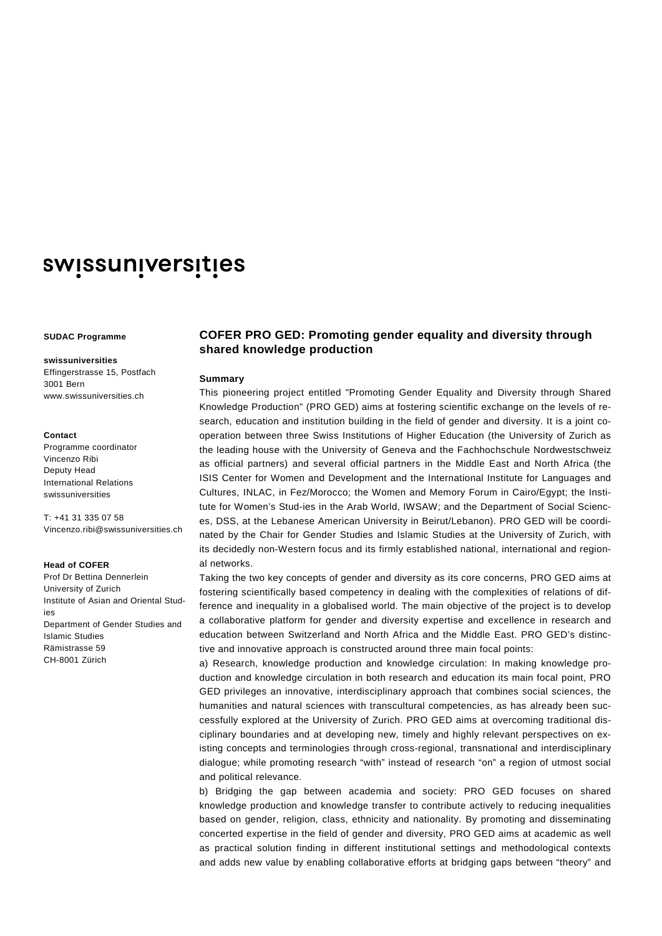# swissuniversities

#### **SUDAC Programme**

#### **swissuniversities**

Effingerstrasse 15, Postfach 3001 Bern www.swissuniversities.ch

#### **Contact**

Programme coordinator Vincenzo Ribi Deputy Head International Relations swissuniversities

T: +41 31 335 07 58 Vincenzo.ribi@swissuniversities.ch

### **Head of COFER**

Prof Dr Bettina Dennerlein University of Zurich Institute of Asian and Oriental Studies Department of Gender Studies and Islamic Studies Rämistrasse 59 CH-8001 Zürich

## **COFER PRO GED: Promoting gender equality and diversity through shared knowledge production**

#### **Summary**

This pioneering project entitled "Promoting Gender Equality and Diversity through Shared Knowledge Production" (PRO GED) aims at fostering scientific exchange on the levels of research, education and institution building in the field of gender and diversity. It is a joint cooperation between three Swiss Institutions of Higher Education (the University of Zurich as the leading house with the University of Geneva and the Fachhochschule Nordwestschweiz as official partners) and several official partners in the Middle East and North Africa (the ISIS Center for Women and Development and the International Institute for Languages and Cultures, INLAC, in Fez/Morocco; the Women and Memory Forum in Cairo/Egypt; the Institute for Women's Stud-ies in the Arab World, IWSAW; and the Department of Social Sciences, DSS, at the Lebanese American University in Beirut/Lebanon). PRO GED will be coordinated by the Chair for Gender Studies and Islamic Studies at the University of Zurich, with its decidedly non-Western focus and its firmly established national, international and regional networks.

Taking the two key concepts of gender and diversity as its core concerns, PRO GED aims at fostering scientifically based competency in dealing with the complexities of relations of difference and inequality in a globalised world. The main objective of the project is to develop a collaborative platform for gender and diversity expertise and excellence in research and education between Switzerland and North Africa and the Middle East. PRO GED's distinctive and innovative approach is constructed around three main focal points:

a) Research, knowledge production and knowledge circulation: In making knowledge production and knowledge circulation in both research and education its main focal point, PRO GED privileges an innovative, interdisciplinary approach that combines social sciences, the humanities and natural sciences with transcultural competencies, as has already been successfully explored at the University of Zurich. PRO GED aims at overcoming traditional disciplinary boundaries and at developing new, timely and highly relevant perspectives on existing concepts and terminologies through cross-regional, transnational and interdisciplinary dialogue; while promoting research "with" instead of research "on" a region of utmost social and political relevance.

b) Bridging the gap between academia and society: PRO GED focuses on shared knowledge production and knowledge transfer to contribute actively to reducing inequalities based on gender, religion, class, ethnicity and nationality. By promoting and disseminating concerted expertise in the field of gender and diversity, PRO GED aims at academic as well as practical solution finding in different institutional settings and methodological contexts and adds new value by enabling collaborative efforts at bridging gaps between "theory" and